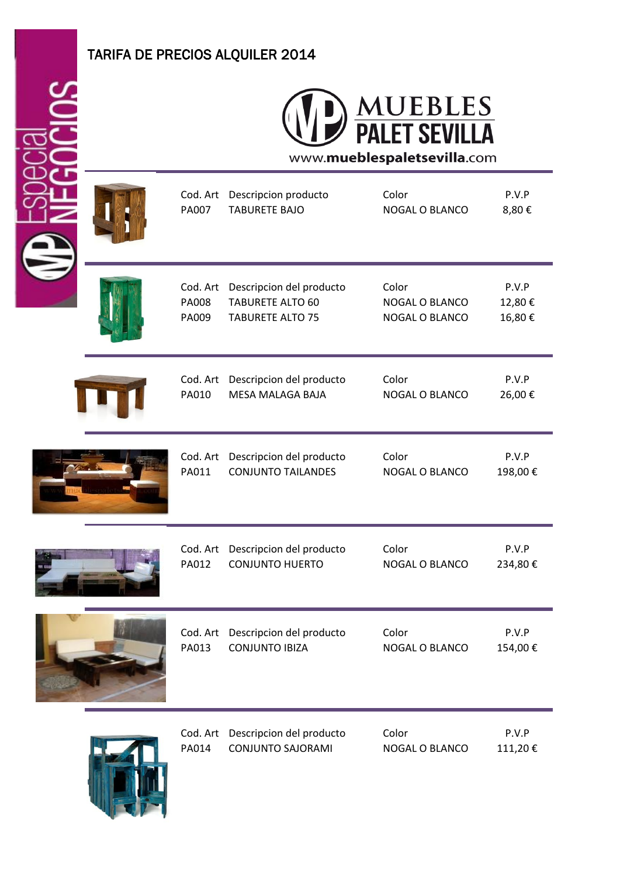## TARIFA DE PRECIOS ALQUILER 2014



Cod. Art Descripcion producto Color P.V.P PA007 TABURETE BAJO NOGAL O BLANCO 8,80 € Cod. Art Descripcion del producto Color Color P.V.P PA008 TABURETE ALTO 60 NOGAL O BLANCO 12,80 € PA009 TABURETE ALTO 75 NOGAL O BLANCO 16,80 € Cod. Art Descripcion del producto Color P.V.P PA010 MESA MALAGA BAJA NOGAL O BLANCO 26,00 € Cod. Art Descripcion del producto Color P.V.P PA011 CONJUNTO TAILANDES NOGAL O BLANCO 198,00 € Cod. Art Descripcion del producto Color P.V.P PA012 CONJUNTO HUERTO NOGAL O BLANCO 234,80 € Cod. Art Descripcion del producto Color P.V.P PA013 CONJUNTO IBIZA NOGAL O BLANCO 154.00 € Cod. Art Descripcion del producto Color P.V.P

PA014 CONJUNTO SAJORAMI NOGAL O BLANCO 111,20 €

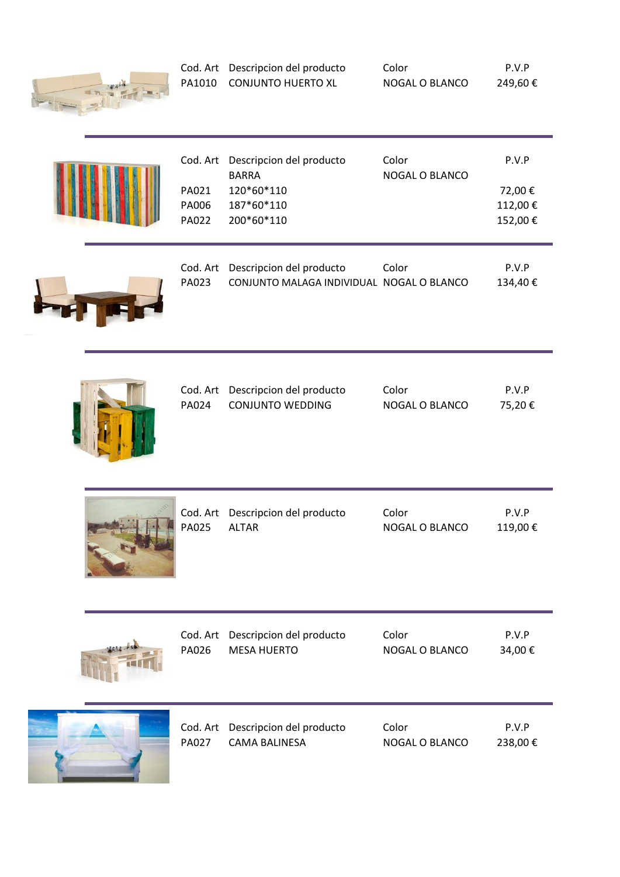

| Cod. Art Descripcion del producto | Color          | P.V.P  |
|-----------------------------------|----------------|--------|
| PA1010 CONJUNTO HUERTO XL         | NOGAL O BLANCO | 249,60 |

| <b>PA021</b><br>PA006<br><b>PA022</b> | Cod. Art Descripcion del producto<br><b>BARRA</b><br>120*60*110<br>187*60*110<br>200*60*110 | Color<br>NOGAL O BLANCO | P.V.P<br>72,00 €<br>112,00€<br>152,00€ |  |
|---------------------------------------|---------------------------------------------------------------------------------------------|-------------------------|----------------------------------------|--|
|                                       |                                                                                             |                         |                                        |  |
|                                       | Cod Art Descripcion del producto                                                            | Color                   | D V D                                  |  |



|       | Cod. Art Descripcion del producto         | Color | P.V.P    |
|-------|-------------------------------------------|-------|----------|
| PA023 | CONJUNTO MALAGA INDIVIDUAL NOGAL O BLANCO |       | 134.40 € |



|       | Cod. Art Descripcion del producto | Color          | P.V.P  |
|-------|-----------------------------------|----------------|--------|
| PA024 | CONJUNTO WEDDING                  | NOGAL O BLANCO | 75.20€ |



| Cod. Art     | Descripcion del producto | Color                 | P.V.P   |
|--------------|--------------------------|-----------------------|---------|
| PA025        | <b>ALTAR</b>             | <b>NOGAL O BLANCO</b> | 119,00€ |
| Cod. Art     | Descripcion del producto | Color                 | P.V.P   |
| PA026        | <b>MESA HUERTO</b>       | <b>NOGAL O BLANCO</b> | 34,00€  |
| Cod. Art     | Descripcion del producto | Color                 | P.V.P   |
| <b>PA027</b> | <b>CAMA BALINESA</b>     | <b>NOGAL O BLANCO</b> | 238,00€ |